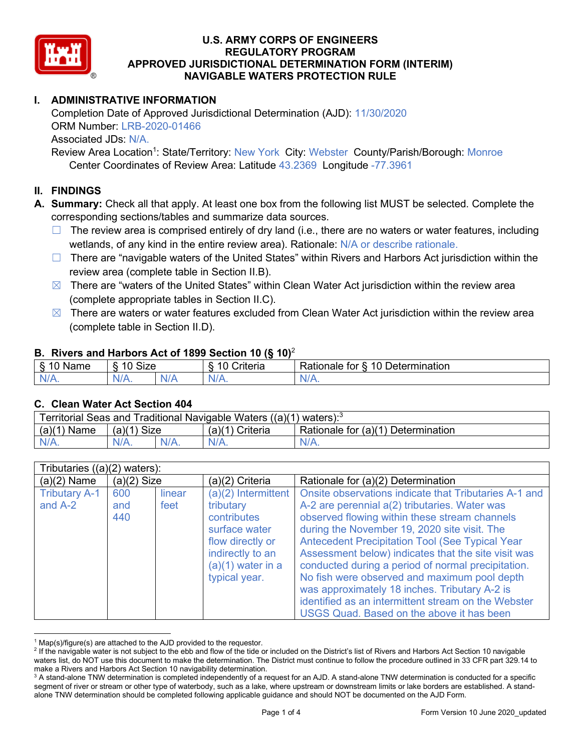

# **I. ADMINISTRATIVE INFORMATION**

Completion Date of Approved Jurisdictional Determination (AJD): 11/30/2020 ORM Number: LRB-2020-01466 Associated JDs: N/A.

Review Area Location<sup>1</sup>: State/Territory: New York City: Webster County/Parish/Borough: Monroe Center Coordinates of Review Area: Latitude 43.2369 Longitude -77.3961

### **II. FINDINGS**

**A. Summary:** Check all that apply. At least one box from the following list MUST be selected. Complete the corresponding sections/tables and summarize data sources.

- $\Box$  The review area is comprised entirely of dry land (i.e., there are no waters or water features, including wetlands, of any kind in the entire review area). Rationale: N/A or describe rationale.
- $\Box$  There are "navigable waters of the United States" within Rivers and Harbors Act jurisdiction within the review area (complete table in Section II.B).
- $\boxtimes$  There are "waters of the United States" within Clean Water Act jurisdiction within the review area (complete appropriate tables in Section II.C).
- $\boxtimes$  There are waters or water features excluded from Clean Water Act jurisdiction within the review area (complete table in Section II.D).

#### **B. Rivers and Harbors Act of 1899 Section 10 (§ 10)**<sup>2</sup>

| $\cdot$                   |                      |        |                                                             |                                                 |  |
|---------------------------|----------------------|--------|-------------------------------------------------------------|-------------------------------------------------|--|
| $\sim$<br>$-$<br>ame<br>◡ | 10<br>$\sim$<br>SIZE |        | .<br>10<br>$^{\circ}$ rıt $\cap$ rı $\cap$<br><b>AILCIT</b> | Determination<br>$\sqrt{ }$<br>Rationale<br>tor |  |
| $N/A$ .                   | ו גו<br>97 / TV .    | w<br>. | $N/A$ .                                                     | $N_{\ell}$<br>$\mathbf{v}$                      |  |

#### **C. Clean Water Act Section 404**

| Territorial Seas and Traditional Navigable Waters $((a)(1)$ waters): <sup>3</sup> |                |  |                 |                                    |
|-----------------------------------------------------------------------------------|----------------|--|-----------------|------------------------------------|
| (a)(1)<br>Name                                                                    | Size<br>(a)(1) |  | (a)(1) Criteria | Rationale for (a)(1) Determination |
|                                                                                   | $N/A$ .        |  | $N/A$ .         | $N/A$ .                            |

| Tributaries $((a)(2)$ waters):    |                   |                |                                                                                                                                                    |                                                                                                                                                                                                                                                                                                                                                                                                                                                                                                                                                                                     |  |
|-----------------------------------|-------------------|----------------|----------------------------------------------------------------------------------------------------------------------------------------------------|-------------------------------------------------------------------------------------------------------------------------------------------------------------------------------------------------------------------------------------------------------------------------------------------------------------------------------------------------------------------------------------------------------------------------------------------------------------------------------------------------------------------------------------------------------------------------------------|--|
| $(a)(2)$ Name                     | $(a)(2)$ Size     |                | (a)(2) Criteria                                                                                                                                    | Rationale for (a)(2) Determination                                                                                                                                                                                                                                                                                                                                                                                                                                                                                                                                                  |  |
| <b>Tributary A-1</b><br>and $A-2$ | 600<br>and<br>440 | linear<br>feet | $(a)(2)$ Intermittent<br>tributary<br>contributes<br>surface water<br>flow directly or<br>indirectly to an<br>$(a)(1)$ water in a<br>typical year. | Onsite observations indicate that Tributaries A-1 and<br>A-2 are perennial a(2) tributaries. Water was<br>observed flowing within these stream channels<br>during the November 19, 2020 site visit. The<br><b>Antecedent Precipitation Tool (See Typical Year</b><br>Assessment below) indicates that the site visit was<br>conducted during a period of normal precipitation.<br>No fish were observed and maximum pool depth<br>was approximately 18 inches. Tributary A-2 is<br>identified as an intermittent stream on the Webster<br>USGS Quad. Based on the above it has been |  |

 $1$  Map(s)/figure(s) are attached to the AJD provided to the requestor.

<sup>&</sup>lt;sup>2</sup> If the navigable water is not subject to the ebb and flow of the tide or included on the District's list of Rivers and Harbors Act Section 10 navigable waters list, do NOT use this document to make the determination. The District must continue to follow the procedure outlined in 33 CFR part 329.14 to make a Rivers and Harbors Act Section 10 navigability determination.

<sup>&</sup>lt;sup>3</sup> A stand-alone TNW determination is completed independently of a request for an AJD. A stand-alone TNW determination is conducted for a specific segment of river or stream or other type of waterbody, such as a lake, where upstream or downstream limits or lake borders are established. A standalone TNW determination should be completed following applicable guidance and should NOT be documented on the AJD Form.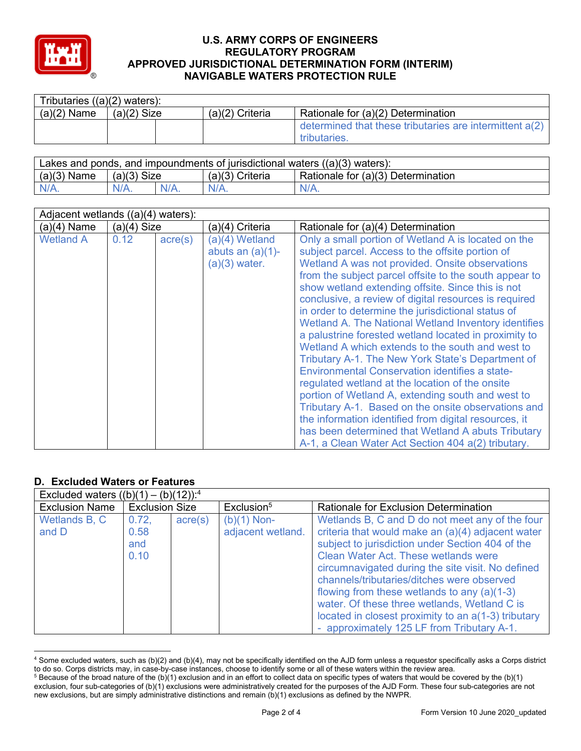

| Tributaries $((a)(2)$ waters): |               |                   |                                                           |  |  |
|--------------------------------|---------------|-------------------|-----------------------------------------------------------|--|--|
| $(a)(2)$ Name                  | $(a)(2)$ Size | $(a)(2)$ Criteria | Rationale for (a)(2) Determination                        |  |  |
|                                |               |                   | determined that these tributaries are intermittent $a(2)$ |  |  |
|                                |               |                   | tributaries.                                              |  |  |

| Lakes and ponds, and impoundments of jurisdictional waters $((a)(3)$ waters): |               |         |                   |                                                 |
|-------------------------------------------------------------------------------|---------------|---------|-------------------|-------------------------------------------------|
| $(a)(3)$ Name                                                                 | $(a)(3)$ Size |         | $(a)(3)$ Criteria | <sup>1</sup> Rationale for (a)(3) Determination |
| $N/A$ .                                                                       |               | $N/A$ . | $N/A$ .           | $N/A$ .                                         |

| Adjacent wetlands $((a)(4)$ waters): |               |                  |                                                          |                                                                                                                                                                                                                                                                                                                                                                                                                                                                                                                                                                                                                                                                                                                                                                                                                                                                                                                                                                                                          |  |
|--------------------------------------|---------------|------------------|----------------------------------------------------------|----------------------------------------------------------------------------------------------------------------------------------------------------------------------------------------------------------------------------------------------------------------------------------------------------------------------------------------------------------------------------------------------------------------------------------------------------------------------------------------------------------------------------------------------------------------------------------------------------------------------------------------------------------------------------------------------------------------------------------------------------------------------------------------------------------------------------------------------------------------------------------------------------------------------------------------------------------------------------------------------------------|--|
| $(a)(4)$ Name                        | $(a)(4)$ Size |                  | (a)(4) Criteria                                          | Rationale for (a)(4) Determination                                                                                                                                                                                                                                                                                                                                                                                                                                                                                                                                                                                                                                                                                                                                                                                                                                                                                                                                                                       |  |
| <b>Wetland A</b>                     | 0.12          | $\text{acre}(s)$ | (a)(4) Wetland<br>abuts an $(a)(1)$ -<br>$(a)(3)$ water. | Only a small portion of Wetland A is located on the<br>subject parcel. Access to the offsite portion of<br>Wetland A was not provided. Onsite observations<br>from the subject parcel offsite to the south appear to<br>show wetland extending offsite. Since this is not<br>conclusive, a review of digital resources is required<br>in order to determine the jurisdictional status of<br>Wetland A. The National Wetland Inventory identifies<br>a palustrine forested wetland located in proximity to<br>Wetland A which extends to the south and west to<br>Tributary A-1. The New York State's Department of<br>Environmental Conservation identifies a state-<br>regulated wetland at the location of the onsite<br>portion of Wetland A, extending south and west to<br>Tributary A-1. Based on the onsite observations and<br>the information identified from digital resources, it<br>has been determined that Wetland A abuts Tributary<br>A-1, a Clean Water Act Section 404 a(2) tributary. |  |

# **D. Excluded Waters or Features**

| Excluded waters $((b)(1) - (b)(12))$ : <sup>4</sup> |                              |                  |                                    |                                                                                                                                                                                                                                                                                                                                                                                                                                                                                                                  |  |
|-----------------------------------------------------|------------------------------|------------------|------------------------------------|------------------------------------------------------------------------------------------------------------------------------------------------------------------------------------------------------------------------------------------------------------------------------------------------------------------------------------------------------------------------------------------------------------------------------------------------------------------------------------------------------------------|--|
| <b>Exclusion Name</b>                               | <b>Exclusion Size</b>        |                  | Exclusion <sup>5</sup>             | Rationale for Exclusion Determination                                                                                                                                                                                                                                                                                                                                                                                                                                                                            |  |
| Wetlands B, C<br>and D                              | 0.72,<br>0.58<br>and<br>0.10 | $\text{acre}(s)$ | $(b)(1)$ Non-<br>adjacent wetland. | Wetlands B, C and D do not meet any of the four<br>criteria that would make an (a)(4) adjacent water<br>subject to jurisdiction under Section 404 of the<br><b>Clean Water Act. These wetlands were</b><br>circumnavigated during the site visit. No defined<br>channels/tributaries/ditches were observed<br>flowing from these wetlands to any $(a)(1-3)$<br>water. Of these three wetlands, Wetland C is<br>located in closest proximity to an a(1-3) tributary<br>- approximately 125 LF from Tributary A-1. |  |

<sup>4</sup> Some excluded waters, such as (b)(2) and (b)(4), may not be specifically identified on the AJD form unless a requestor specifically asks a Corps district to do so. Corps districts may, in case-by-case instances, choose to identify some or all of these waters within the review area.

 $5$  Because of the broad nature of the (b)(1) exclusion and in an effort to collect data on specific types of waters that would be covered by the (b)(1) exclusion, four sub-categories of (b)(1) exclusions were administratively created for the purposes of the AJD Form. These four sub-categories are not new exclusions, but are simply administrative distinctions and remain (b)(1) exclusions as defined by the NWPR.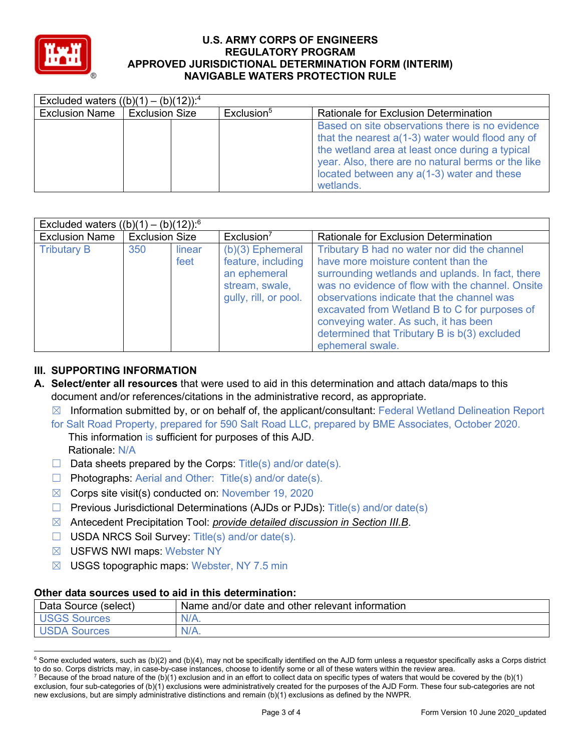

| Excluded waters $((b)(1) - (b)(12))$ : <sup>4</sup> |                       |                        |                                                                                                                                                                                                                                                                             |
|-----------------------------------------------------|-----------------------|------------------------|-----------------------------------------------------------------------------------------------------------------------------------------------------------------------------------------------------------------------------------------------------------------------------|
| <b>Exclusion Name</b>                               | <b>Exclusion Size</b> | Exclusion <sup>5</sup> | <b>Rationale for Exclusion Determination</b>                                                                                                                                                                                                                                |
|                                                     |                       |                        | Based on site observations there is no evidence<br>that the nearest $a(1-3)$ water would flood any of<br>the wetland area at least once during a typical<br>year. Also, there are no natural berms or the like<br>located between any $a(1-3)$ water and these<br>wetlands. |

| Excluded waters $((b)(1) - (b)(12))$ : <sup>6</sup> |                       |                |                                                                                                     |                                                                                                                                                                                                                                                                                                                                                                                                         |  |
|-----------------------------------------------------|-----------------------|----------------|-----------------------------------------------------------------------------------------------------|---------------------------------------------------------------------------------------------------------------------------------------------------------------------------------------------------------------------------------------------------------------------------------------------------------------------------------------------------------------------------------------------------------|--|
| <b>Exclusion Name</b>                               | <b>Exclusion Size</b> |                | Exclusion <sup>7</sup>                                                                              | Rationale for Exclusion Determination                                                                                                                                                                                                                                                                                                                                                                   |  |
| <b>Tributary B</b>                                  | 350                   | linear<br>feet | $(b)(3)$ Ephemeral<br>feature, including<br>an ephemeral<br>stream, swale,<br>gully, rill, or pool. | Tributary B had no water nor did the channel<br>have more moisture content than the<br>surrounding wetlands and uplands. In fact, there<br>was no evidence of flow with the channel. Onsite<br>observations indicate that the channel was<br>excavated from Wetland B to C for purposes of<br>conveying water. As such, it has been<br>determined that Tributary B is b(3) excluded<br>ephemeral swale. |  |

# **III. SUPPORTING INFORMATION**

- **A. Select/enter all resources** that were used to aid in this determination and attach data/maps to this document and/or references/citations in the administrative record, as appropriate.
	- $\boxtimes$  Information submitted by, or on behalf of, the applicant/consultant: Federal Wetland Delineation Report
	- for Salt Road Property, prepared for 590 Salt Road LLC, prepared by BME Associates, October 2020. This information is sufficient for purposes of this AJD. Rationale: N/A
	- $\Box$  Data sheets prepared by the Corps: Title(s) and/or date(s).
	- ☐ Photographs: Aerial and Other: Title(s) and/or date(s).
	- $\boxtimes$  Corps site visit(s) conducted on: November 19, 2020
	- ☐ Previous Jurisdictional Determinations (AJDs or PJDs): Title(s) and/or date(s)
	- ☒ Antecedent Precipitation Tool: *provide detailed discussion in Section III.B*.
	- ☐ USDA NRCS Soil Survey: Title(s) and/or date(s).
	- ☒ USFWS NWI maps: Webster NY
	- $\boxtimes$  USGS topographic maps: Webster, NY 7.5 min

#### **Other data sources used to aid in this determination:**

| Data Source (select) | Name and/or date and other relevant information |
|----------------------|-------------------------------------------------|
| Sources              | $N/A$ .                                         |
| <b>JSDA Sources</b>  | $N/A$ .                                         |

 $6$  Some excluded waters, such as (b)(2) and (b)(4), may not be specifically identified on the AJD form unless a requestor specifically asks a Corps district to do so. Corps districts may, in case-by-case instances, choose to identify some or all of these waters within the review area.

<sup>&</sup>lt;sup>7</sup> Because of the broad nature of the (b)(1) exclusion and in an effort to collect data on specific types of waters that would be covered by the (b)(1) exclusion, four sub-categories of (b)(1) exclusions were administratively created for the purposes of the AJD Form. These four sub-categories are not new exclusions, but are simply administrative distinctions and remain (b)(1) exclusions as defined by the NWPR.